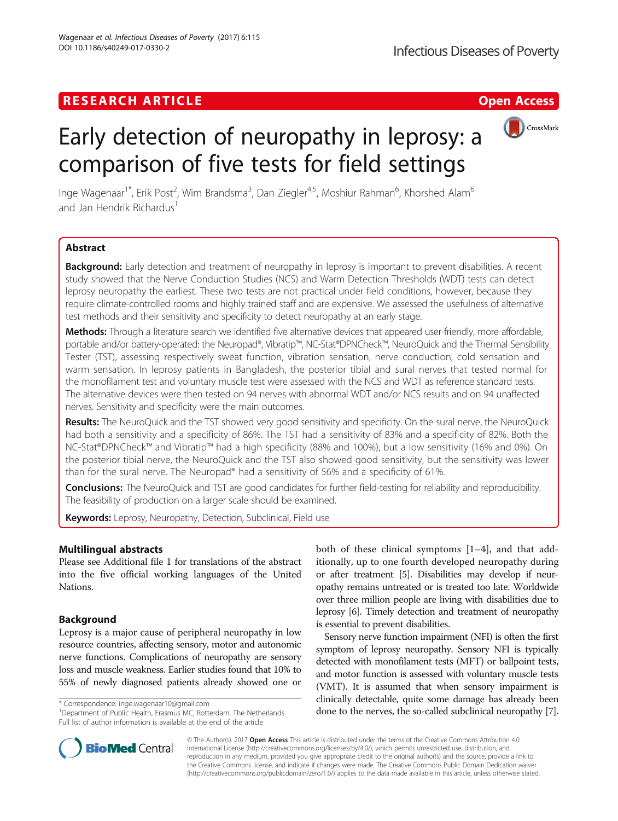## **RESEARCH ARTICLE Example 2018 12:00 Department of the CONNECTION CONNECTION CONNECTION CONNECTION**



# Early detection of neuropathy in leprosy: a comparison of five tests for field settings

Inge Wagenaar<sup>1\*</sup>, Erik Post<sup>2</sup>, Wim Brandsma<sup>3</sup>, Dan Ziegler<sup>4,5</sup>, Moshiur Rahman<sup>6</sup>, Khorshed Alam<sup>6</sup> and Jan Hendrik Richardus

## Abstract

Background: Early detection and treatment of neuropathy in leprosy is important to prevent disabilities. A recent study showed that the Nerve Conduction Studies (NCS) and Warm Detection Thresholds (WDT) tests can detect leprosy neuropathy the earliest. These two tests are not practical under field conditions, however, because they require climate-controlled rooms and highly trained staff and are expensive. We assessed the usefulness of alternative test methods and their sensitivity and specificity to detect neuropathy at an early stage.

Methods: Through a literature search we identified five alternative devices that appeared user-friendly, more affordable, portable and/or battery-operated: the Neuropad®, Vibratip™, NC-Stat®DPNCheck™, NeuroQuick and the Thermal Sensibility Tester (TST), assessing respectively sweat function, vibration sensation, nerve conduction, cold sensation and warm sensation. In leprosy patients in Bangladesh, the posterior tibial and sural nerves that tested normal for the monofilament test and voluntary muscle test were assessed with the NCS and WDT as reference standard tests. The alternative devices were then tested on 94 nerves with abnormal WDT and/or NCS results and on 94 unaffected nerves. Sensitivity and specificity were the main outcomes.

Results: The NeuroQuick and the TST showed very good sensitivity and specificity. On the sural nerve, the NeuroQuick had both a sensitivity and a specificity of 86%. The TST had a sensitivity of 83% and a specificity of 82%. Both the NC-Stat®DPNCheck™ and Vibratip™ had a high specificity (88% and 100%), but a low sensitivity (16% and 0%). On the posterior tibial nerve, the NeuroQuick and the TST also showed good sensitivity, but the sensitivity was lower than for the sural nerve. The Neuropad® had a sensitivity of 56% and a specificity of 61%.

Conclusions: The NeuroQuick and TST are good candidates for further field-testing for reliability and reproducibility. The feasibility of production on a larger scale should be examined.

Keywords: Leprosy, Neuropathy, Detection, Subclinical, Field use

## Multilingual abstracts

Please see Additional file [1](#page-7-0) for translations of the abstract into the five official working languages of the United Nations.

## Background

Leprosy is a major cause of peripheral neuropathy in low resource countries, affecting sensory, motor and autonomic nerve functions. Complications of neuropathy are sensory loss and muscle weakness. Earlier studies found that 10% to 55% of newly diagnosed patients already showed one or

<sup>1</sup>Department of Public Health, Erasmus MC, Rotterdam, The Netherlands Full list of author information is available at the end of the article

both of these clinical symptoms [[1](#page-7-0)–[4\]](#page-7-0), and that additionally, up to one fourth developed neuropathy during or after treatment [[5](#page-7-0)]. Disabilities may develop if neuropathy remains untreated or is treated too late. Worldwide over three million people are living with disabilities due to leprosy [\[6\]](#page-7-0). Timely detection and treatment of neuropathy is essential to prevent disabilities.

Sensory nerve function impairment (NFI) is often the first symptom of leprosy neuropathy. Sensory NFI is typically detected with monofilament tests (MFT) or ballpoint tests, and motor function is assessed with voluntary muscle tests (VMT). It is assumed that when sensory impairment is clinically detectable, quite some damage has already been tunically detectable, quite some tamage has already been<br>IDepartment of Public Health, Frasmus MC, Rotterdam, The Netherlands done to the nerves, the so-called subclinical neuropathy [[7](#page-7-0)].



© The Author(s). 2017 **Open Access** This article is distributed under the terms of the Creative Commons Attribution 4.0 International License [\(http://creativecommons.org/licenses/by/4.0/](http://creativecommons.org/licenses/by/4.0/)), which permits unrestricted use, distribution, and reproduction in any medium, provided you give appropriate credit to the original author(s) and the source, provide a link to the Creative Commons license, and indicate if changes were made. The Creative Commons Public Domain Dedication waiver [\(http://creativecommons.org/publicdomain/zero/1.0/](http://creativecommons.org/publicdomain/zero/1.0/)) applies to the data made available in this article, unless otherwise stated.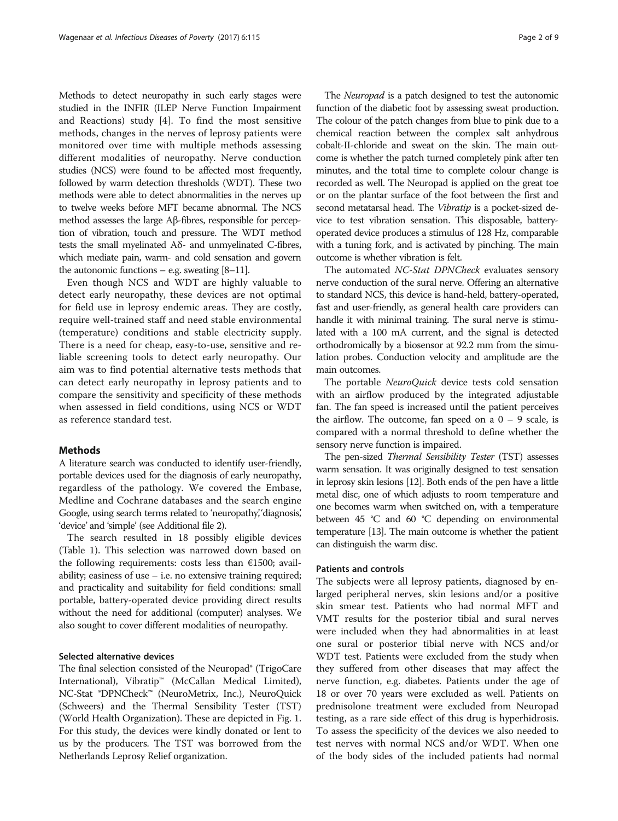Methods to detect neuropathy in such early stages were studied in the INFIR (ILEP Nerve Function Impairment and Reactions) study [[4\]](#page-7-0). To find the most sensitive methods, changes in the nerves of leprosy patients were monitored over time with multiple methods assessing different modalities of neuropathy. Nerve conduction studies (NCS) were found to be affected most frequently, followed by warm detection thresholds (WDT). These two methods were able to detect abnormalities in the nerves up to twelve weeks before MFT became abnormal. The NCS method assesses the large Aβ-fibres, responsible for perception of vibration, touch and pressure. The WDT method tests the small myelinated Aδ- and unmyelinated C-fibres, which mediate pain, warm- and cold sensation and govern the autonomic functions – e.g. sweating  $[8-11]$  $[8-11]$  $[8-11]$ .

Even though NCS and WDT are highly valuable to detect early neuropathy, these devices are not optimal for field use in leprosy endemic areas. They are costly, require well-trained staff and need stable environmental (temperature) conditions and stable electricity supply. There is a need for cheap, easy-to-use, sensitive and reliable screening tools to detect early neuropathy. Our aim was to find potential alternative tests methods that can detect early neuropathy in leprosy patients and to compare the sensitivity and specificity of these methods when assessed in field conditions, using NCS or WDT as reference standard test.

#### Methods

A literature search was conducted to identify user-friendly, portable devices used for the diagnosis of early neuropathy, regardless of the pathology. We covered the Embase, Medline and Cochrane databases and the search engine Google, using search terms related to 'neuropathy' diagnosis', 'device' and 'simple' (see Additional file [2\)](#page-7-0).

The search resulted in 18 possibly eligible devices (Table [1](#page-2-0)). This selection was narrowed down based on the following requirements: costs less than  $€1500$ ; availability; easiness of use – i.e. no extensive training required; and practicality and suitability for field conditions: small portable, battery-operated device providing direct results without the need for additional (computer) analyses. We also sought to cover different modalities of neuropathy.

#### Selected alternative devices

The final selection consisted of the Neuropad® (TrigoCare International), Vibratip™ (McCallan Medical Limited), NC-Stat ®DPNCheck™ (NeuroMetrix, Inc.), NeuroQuick (Schweers) and the Thermal Sensibility Tester (TST) (World Health Organization). These are depicted in Fig. [1](#page-2-0). For this study, the devices were kindly donated or lent to us by the producers. The TST was borrowed from the Netherlands Leprosy Relief organization.

The Neuropad is a patch designed to test the autonomic function of the diabetic foot by assessing sweat production. The colour of the patch changes from blue to pink due to a chemical reaction between the complex salt anhydrous cobalt-II-chloride and sweat on the skin. The main outcome is whether the patch turned completely pink after ten minutes, and the total time to complete colour change is recorded as well. The Neuropad is applied on the great toe or on the plantar surface of the foot between the first and second metatarsal head. The Vibratip is a pocket-sized device to test vibration sensation. This disposable, batteryoperated device produces a stimulus of 128 Hz, comparable with a tuning fork, and is activated by pinching. The main outcome is whether vibration is felt.

The automated NC-Stat DPNCheck evaluates sensory nerve conduction of the sural nerve. Offering an alternative to standard NCS, this device is hand-held, battery-operated, fast and user-friendly, as general health care providers can handle it with minimal training. The sural nerve is stimulated with a 100 mA current, and the signal is detected orthodromically by a biosensor at 92.2 mm from the simulation probes. Conduction velocity and amplitude are the main outcomes.

The portable NeuroQuick device tests cold sensation with an airflow produced by the integrated adjustable fan. The fan speed is increased until the patient perceives the airflow. The outcome, fan speed on a  $0 - 9$  scale, is compared with a normal threshold to define whether the sensory nerve function is impaired.

The pen-sized Thermal Sensibility Tester (TST) assesses warm sensation. It was originally designed to test sensation in leprosy skin lesions [[12\]](#page-7-0). Both ends of the pen have a little metal disc, one of which adjusts to room temperature and one becomes warm when switched on, with a temperature between 45 °C and 60 °C depending on environmental temperature [\[13](#page-7-0)]. The main outcome is whether the patient can distinguish the warm disc.

#### Patients and controls

The subjects were all leprosy patients, diagnosed by enlarged peripheral nerves, skin lesions and/or a positive skin smear test. Patients who had normal MFT and VMT results for the posterior tibial and sural nerves were included when they had abnormalities in at least one sural or posterior tibial nerve with NCS and/or WDT test. Patients were excluded from the study when they suffered from other diseases that may affect the nerve function, e.g. diabetes. Patients under the age of 18 or over 70 years were excluded as well. Patients on prednisolone treatment were excluded from Neuropad testing, as a rare side effect of this drug is hyperhidrosis. To assess the specificity of the devices we also needed to test nerves with normal NCS and/or WDT. When one of the body sides of the included patients had normal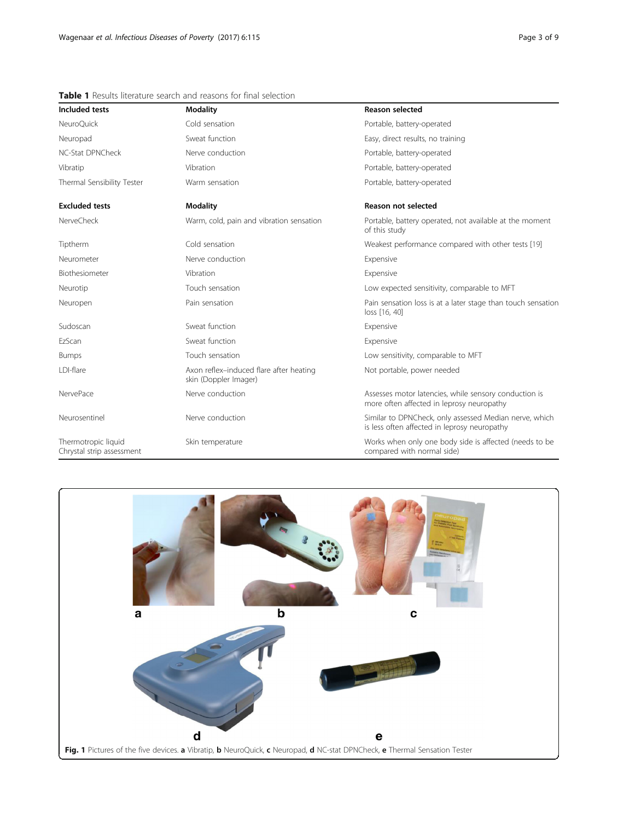## <span id="page-2-0"></span>Table 1 Results literature search and reasons for final selection

| <b>Included tests</b>                            | <b>Modality</b>                                                  | <b>Reason selected</b>                                                                                 |
|--------------------------------------------------|------------------------------------------------------------------|--------------------------------------------------------------------------------------------------------|
| NeuroOuick                                       | Cold sensation                                                   | Portable, battery-operated                                                                             |
| Neuropad                                         | Sweat function                                                   | Easy, direct results, no training                                                                      |
| NC-Stat DPNCheck                                 | Nerve conduction                                                 | Portable, battery-operated                                                                             |
| Vibratip                                         | Vibration                                                        | Portable, battery-operated                                                                             |
| Thermal Sensibility Tester                       | Warm sensation                                                   | Portable, battery-operated                                                                             |
| <b>Excluded tests</b>                            | <b>Modality</b>                                                  | <b>Reason not selected</b>                                                                             |
| NerveCheck                                       | Warm, cold, pain and vibration sensation                         | Portable, battery operated, not available at the moment<br>of this study                               |
| Tiptherm                                         | Cold sensation                                                   | Weakest performance compared with other tests [19]                                                     |
| Neurometer                                       | Nerve conduction                                                 | Expensive                                                                                              |
| Biothesiometer                                   | Vibration                                                        | Expensive                                                                                              |
| Neurotip                                         | Touch sensation                                                  | Low expected sensitivity, comparable to MFT                                                            |
| Neuropen                                         | Pain sensation                                                   | Pain sensation loss is at a later stage than touch sensation<br>loss [16, 40]                          |
| Sudoscan                                         | Sweat function                                                   | Expensive                                                                                              |
| EzScan                                           | Sweat function                                                   | Expensive                                                                                              |
| <b>Bumps</b>                                     | Touch sensation                                                  | Low sensitivity, comparable to MFT                                                                     |
| LDI-flare                                        | Axon reflex-induced flare after heating<br>skin (Doppler Imager) | Not portable, power needed                                                                             |
| NervePace                                        | Nerve conduction                                                 | Assesses motor latencies, while sensory conduction is<br>more often affected in leprosy neuropathy     |
| Neurosentinel                                    | Nerve conduction                                                 | Similar to DPNCheck, only assessed Median nerve, which<br>is less often affected in leprosy neuropathy |
| Thermotropic liquid<br>Chrystal strip assessment | Skin temperature                                                 | Works when only one body side is affected (needs to be<br>compared with normal side)                   |

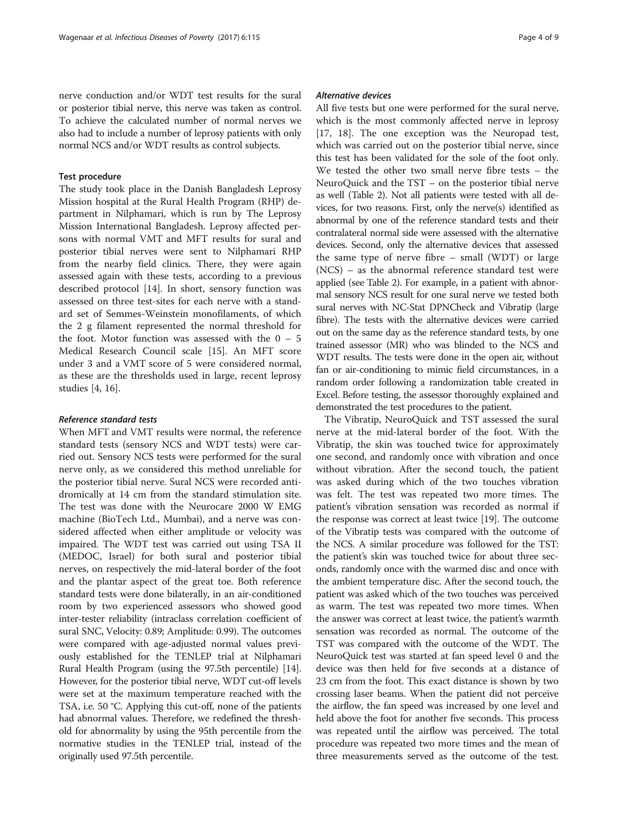nerve conduction and/or WDT test results for the sural or posterior tibial nerve, this nerve was taken as control. To achieve the calculated number of normal nerves we also had to include a number of leprosy patients with only normal NCS and/or WDT results as control subjects.

#### Test procedure

The study took place in the Danish Bangladesh Leprosy Mission hospital at the Rural Health Program (RHP) department in Nilphamari, which is run by The Leprosy Mission International Bangladesh. Leprosy affected persons with normal VMT and MFT results for sural and posterior tibial nerves were sent to Nilphamari RHP from the nearby field clinics. There, they were again assessed again with these tests, according to a previous described protocol [[14](#page-8-0)]. In short, sensory function was assessed on three test-sites for each nerve with a standard set of Semmes-Weinstein monofilaments, of which the 2 g filament represented the normal threshold for the foot. Motor function was assessed with the  $0 - 5$ Medical Research Council scale [[15\]](#page-8-0). An MFT score under 3 and a VMT score of 5 were considered normal, as these are the thresholds used in large, recent leprosy studies [\[4,](#page-7-0) [16\]](#page-8-0).

#### Reference standard tests

When MFT and VMT results were normal, the reference standard tests (sensory NCS and WDT tests) were carried out. Sensory NCS tests were performed for the sural nerve only, as we considered this method unreliable for the posterior tibial nerve. Sural NCS were recorded antidromically at 14 cm from the standard stimulation site. The test was done with the Neurocare 2000 W EMG machine (BioTech Ltd., Mumbai), and a nerve was considered affected when either amplitude or velocity was impaired. The WDT test was carried out using TSA II (MEDOC, Israel) for both sural and posterior tibial nerves, on respectively the mid-lateral border of the foot and the plantar aspect of the great toe. Both reference standard tests were done bilaterally, in an air-conditioned room by two experienced assessors who showed good inter-tester reliability (intraclass correlation coefficient of sural SNC, Velocity: 0.89; Amplitude: 0.99). The outcomes were compared with age-adjusted normal values previously established for the TENLEP trial at Nilphamari Rural Health Program (using the 97.5th percentile) [[14](#page-8-0)]. However, for the posterior tibial nerve, WDT cut-off levels were set at the maximum temperature reached with the TSA, i.e. 50 °C. Applying this cut-off, none of the patients had abnormal values. Therefore, we redefined the threshold for abnormality by using the 95th percentile from the normative studies in the TENLEP trial, instead of the originally used 97.5th percentile.

#### Alternative devices

All five tests but one were performed for the sural nerve, which is the most commonly affected nerve in leprosy [[17, 18\]](#page-8-0). The one exception was the Neuropad test, which was carried out on the posterior tibial nerve, since this test has been validated for the sole of the foot only. We tested the other two small nerve fibre tests – the NeuroQuick and the TST – on the posterior tibial nerve as well (Table [2](#page-4-0)). Not all patients were tested with all devices, for two reasons. First, only the nerve(s) identified as abnormal by one of the reference standard tests and their contralateral normal side were assessed with the alternative devices. Second, only the alternative devices that assessed the same type of nerve fibre – small (WDT) or large (NCS) – as the abnormal reference standard test were applied (see Table [2](#page-4-0)). For example, in a patient with abnormal sensory NCS result for one sural nerve we tested both sural nerves with NC-Stat DPNCheck and Vibratip (large fibre). The tests with the alternative devices were carried out on the same day as the reference standard tests, by one trained assessor (MR) who was blinded to the NCS and WDT results. The tests were done in the open air, without fan or air-conditioning to mimic field circumstances, in a random order following a randomization table created in Excel. Before testing, the assessor thoroughly explained and demonstrated the test procedures to the patient.

The Vibratip, NeuroQuick and TST assessed the sural nerve at the mid-lateral border of the foot. With the Vibratip, the skin was touched twice for approximately one second, and randomly once with vibration and once without vibration. After the second touch, the patient was asked during which of the two touches vibration was felt. The test was repeated two more times. The patient's vibration sensation was recorded as normal if the response was correct at least twice [[19](#page-8-0)]. The outcome of the Vibratip tests was compared with the outcome of the NCS. A similar procedure was followed for the TST: the patient's skin was touched twice for about three seconds, randomly once with the warmed disc and once with the ambient temperature disc. After the second touch, the patient was asked which of the two touches was perceived as warm. The test was repeated two more times. When the answer was correct at least twice, the patient's warmth sensation was recorded as normal. The outcome of the TST was compared with the outcome of the WDT. The NeuroQuick test was started at fan speed level 0 and the device was then held for five seconds at a distance of 23 cm from the foot. This exact distance is shown by two crossing laser beams. When the patient did not perceive the airflow, the fan speed was increased by one level and held above the foot for another five seconds. This process was repeated until the airflow was perceived. The total procedure was repeated two more times and the mean of three measurements served as the outcome of the test.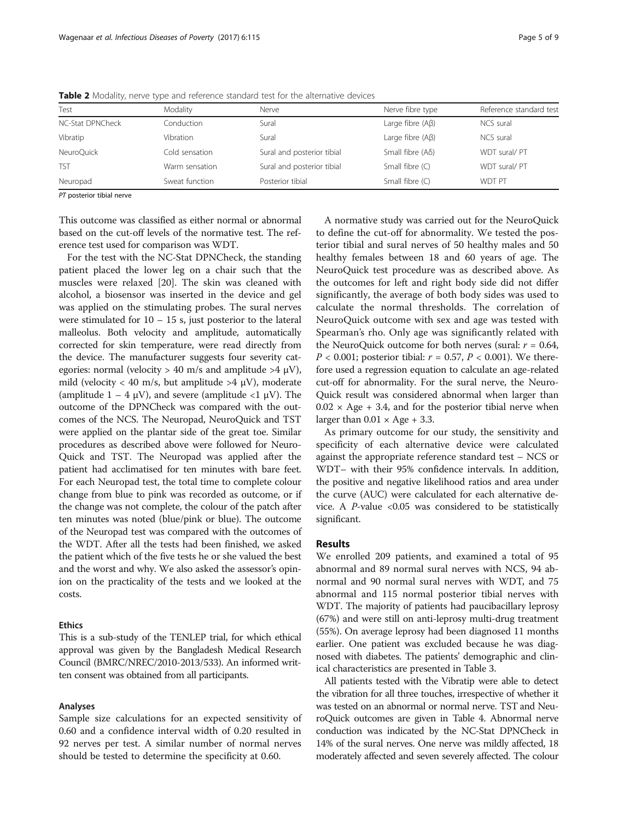| Test             | Modality       | Nerve                      | Nerve fibre type        | Reference standard test |
|------------------|----------------|----------------------------|-------------------------|-------------------------|
| NC-Stat DPNCheck | Conduction     | Sural                      | Large fibre $(AB)$      | NCS sural               |
| Vibratip         | Vibration      | Sural                      | Large fibre $(AB)$      | NCS sural               |
| NeuroOuick       | Cold sensation | Sural and posterior tibial | Small fibre $(A\delta)$ | WDT sural/ PT           |
| <b>TST</b>       | Warm sensation | Sural and posterior tibial | Small fibre (C)         | WDT sural/ PT           |
| Neuropad         | Sweat function | Posterior tibial           | Small fibre (C)         | WDT PT                  |

<span id="page-4-0"></span>Table 2 Modality, nerve type and reference standard test for the alternative devices

PT posterior tibial nerve

This outcome was classified as either normal or abnormal based on the cut-off levels of the normative test. The reference test used for comparison was WDT.

For the test with the NC-Stat DPNCheck, the standing patient placed the lower leg on a chair such that the muscles were relaxed [\[20](#page-8-0)]. The skin was cleaned with alcohol, a biosensor was inserted in the device and gel was applied on the stimulating probes. The sural nerves were stimulated for  $10 - 15$  s, just posterior to the lateral malleolus. Both velocity and amplitude, automatically corrected for skin temperature, were read directly from the device. The manufacturer suggests four severity categories: normal (velocity  $> 40$  m/s and amplitude  $> 4 \mu V$ ), mild (velocity  $<$  40 m/s, but amplitude  $>$ 4  $\mu$ V), moderate (amplitude  $1 - 4 \mu V$ ), and severe (amplitude <1  $\mu$ V). The outcome of the DPNCheck was compared with the outcomes of the NCS. The Neuropad, NeuroQuick and TST were applied on the plantar side of the great toe. Similar procedures as described above were followed for Neuro-Quick and TST. The Neuropad was applied after the patient had acclimatised for ten minutes with bare feet. For each Neuropad test, the total time to complete colour change from blue to pink was recorded as outcome, or if the change was not complete, the colour of the patch after ten minutes was noted (blue/pink or blue). The outcome of the Neuropad test was compared with the outcomes of the WDT. After all the tests had been finished, we asked the patient which of the five tests he or she valued the best and the worst and why. We also asked the assessor's opinion on the practicality of the tests and we looked at the costs.

#### **Ethics**

This is a sub-study of the TENLEP trial, for which ethical approval was given by the Bangladesh Medical Research Council (BMRC/NREC/2010-2013/533). An informed written consent was obtained from all participants.

## Analyses

Sample size calculations for an expected sensitivity of 0.60 and a confidence interval width of 0.20 resulted in 92 nerves per test. A similar number of normal nerves should be tested to determine the specificity at 0.60.

A normative study was carried out for the NeuroQuick to define the cut-off for abnormality. We tested the posterior tibial and sural nerves of 50 healthy males and 50 healthy females between 18 and 60 years of age. The NeuroQuick test procedure was as described above. As the outcomes for left and right body side did not differ significantly, the average of both body sides was used to calculate the normal thresholds. The correlation of NeuroQuick outcome with sex and age was tested with Spearman's rho. Only age was significantly related with the NeuroQuick outcome for both nerves (sural:  $r = 0.64$ ,  $P < 0.001$ ; posterior tibial:  $r = 0.57$ ,  $P < 0.001$ ). We therefore used a regression equation to calculate an age-related cut-off for abnormality. For the sural nerve, the Neuro-Quick result was considered abnormal when larger than  $0.02 \times$  Age + 3.4, and for the posterior tibial nerve when larger than  $0.01 \times$  Age + 3.3.

As primary outcome for our study, the sensitivity and specificity of each alternative device were calculated against the appropriate reference standard test – NCS or WDT– with their 95% confidence intervals. In addition, the positive and negative likelihood ratios and area under the curve (AUC) were calculated for each alternative device. A  $P$ -value <0.05 was considered to be statistically significant.

#### Results

We enrolled 209 patients, and examined a total of 95 abnormal and 89 normal sural nerves with NCS, 94 abnormal and 90 normal sural nerves with WDT, and 75 abnormal and 115 normal posterior tibial nerves with WDT. The majority of patients had paucibacillary leprosy (67%) and were still on anti-leprosy multi-drug treatment (55%). On average leprosy had been diagnosed 11 months earlier. One patient was excluded because he was diagnosed with diabetes. The patients' demographic and clinical characteristics are presented in Table [3](#page-5-0).

All patients tested with the Vibratip were able to detect the vibration for all three touches, irrespective of whether it was tested on an abnormal or normal nerve. TST and NeuroQuick outcomes are given in Table [4](#page-5-0). Abnormal nerve conduction was indicated by the NC-Stat DPNCheck in 14% of the sural nerves. One nerve was mildly affected, 18 moderately affected and seven severely affected. The colour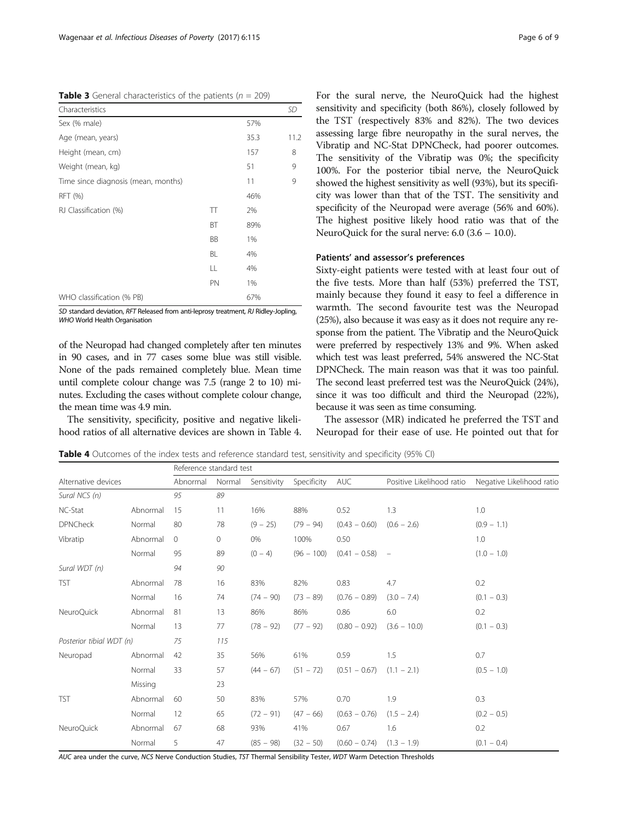<span id="page-5-0"></span>

|  |  | <b>Table 3</b> General characteristics of the patients ( $n = 209$ ) |  |  |  |
|--|--|----------------------------------------------------------------------|--|--|--|
|--|--|----------------------------------------------------------------------|--|--|--|

| Characteristics                           |        |      | SD   |  |
|-------------------------------------------|--------|------|------|--|
| Sex (% male)                              |        | 57%  |      |  |
| Age (mean, years)                         |        | 35.3 | 11.2 |  |
| Height (mean, cm)                         | 157    | 8    |      |  |
| Weight (mean, kg)                         | 51     | 9    |      |  |
| 11<br>Time since diagnosis (mean, months) |        |      |      |  |
| RFT (%)                                   |        | 46%  |      |  |
| RJ Classification (%)                     | $\top$ | 2%   |      |  |
|                                           | ВT     | 89%  |      |  |
|                                           | BB     | 1%   |      |  |
|                                           | BL     | 4%   |      |  |
|                                           | LL     | 4%   |      |  |
|                                           | PN     | 1%   |      |  |
| WHO classification (% PB)                 |        | 67%  |      |  |

SD standard deviation, RFT Released from anti-leprosy treatment, RJ Ridley-Jopling, WHO World Health Organisation

of the Neuropad had changed completely after ten minutes in 90 cases, and in 77 cases some blue was still visible. None of the pads remained completely blue. Mean time until complete colour change was 7.5 (range 2 to 10) minutes. Excluding the cases without complete colour change, the mean time was 4.9 min.

The sensitivity, specificity, positive and negative likelihood ratios of all alternative devices are shown in Table 4. For the sural nerve, the NeuroQuick had the highest sensitivity and specificity (both 86%), closely followed by the TST (respectively 83% and 82%). The two devices assessing large fibre neuropathy in the sural nerves, the Vibratip and NC-Stat DPNCheck, had poorer outcomes. The sensitivity of the Vibratip was 0%; the specificity 100%. For the posterior tibial nerve, the NeuroQuick showed the highest sensitivity as well (93%), but its specificity was lower than that of the TST. The sensitivity and specificity of the Neuropad were average (56% and 60%). The highest positive likely hood ratio was that of the NeuroQuick for the sural nerve: 6.0 (3.6 – 10.0).

#### Patients' and assessor's preferences

Sixty-eight patients were tested with at least four out of the five tests. More than half (53%) preferred the TST, mainly because they found it easy to feel a difference in warmth. The second favourite test was the Neuropad (25%), also because it was easy as it does not require any response from the patient. The Vibratip and the NeuroQuick were preferred by respectively 13% and 9%. When asked which test was least preferred, 54% answered the NC-Stat DPNCheck. The main reason was that it was too painful. The second least preferred test was the NeuroQuick (24%), since it was too difficult and third the Neuropad (22%), because it was seen as time consuming.

The assessor (MR) indicated he preferred the TST and Neuropad for their ease of use. He pointed out that for

Table 4 Outcomes of the index tests and reference standard test, sensitivity and specificity (95% CI)

|                          |          | Reference standard test |         |             |              |                 |                          |                                                     |
|--------------------------|----------|-------------------------|---------|-------------|--------------|-----------------|--------------------------|-----------------------------------------------------|
| Alternative devices      |          | Abnormal                | Normal  | Sensitivity | Specificity  | <b>AUC</b>      |                          | Positive Likelihood ratio Negative Likelihood ratio |
| Sural NCS (n)            |          | 95                      | 89      |             |              |                 |                          |                                                     |
| NC-Stat                  | Abnormal | 15                      | 11      | 16%         | 88%          | 0.52            | 1.3                      | 1.0                                                 |
| <b>DPNCheck</b>          | Normal   | 80                      | 78      | $(9 - 25)$  | $(79 - 94)$  | $(0.43 - 0.60)$ | $(0.6 - 2.6)$            | $(0.9 - 1.1)$                                       |
| Vibratip                 | Abnormal | $\mathbf{0}$            | $\circ$ | 0%          | 100%         | 0.50            |                          | 1.0                                                 |
|                          | Normal   | 95                      | 89      | $(0 - 4)$   | $(96 - 100)$ | $(0.41 - 0.58)$ | $\overline{\phantom{a}}$ | $(1.0 - 1.0)$                                       |
| Sural WDT (n)            |          | 94                      | 90      |             |              |                 |                          |                                                     |
| <b>TST</b>               | Abnormal | 78                      | 16      | 83%         | 82%          | 0.83            | 4.7                      | 0.2                                                 |
|                          | Normal   | 16                      | 74      | $(74 - 90)$ | $(73 - 89)$  | $(0.76 - 0.89)$ | $(3.0 - 7.4)$            | $(0.1 - 0.3)$                                       |
| NeuroQuick               | Abnormal | 81                      | 13      | 86%         | 86%          | 0.86            | 6.0                      | 0.2                                                 |
|                          | Normal   | 13                      | 77      | $(78 - 92)$ | $(77 - 92)$  | $(0.80 - 0.92)$ | $(3.6 - 10.0)$           | $(0.1 - 0.3)$                                       |
| Posterior tibial WDT (n) |          | 75                      | 115     |             |              |                 |                          |                                                     |
| Neuropad                 | Abnormal | 42                      | 35      | 56%         | 61%          | 0.59            | 1.5                      | 0.7                                                 |
|                          | Normal   | 33                      | 57      | $(44 - 67)$ | $(51 - 72)$  | $(0.51 - 0.67)$ | $(1.1 - 2.1)$            | $(0.5 - 1.0)$                                       |
|                          | Missing  |                         | 23      |             |              |                 |                          |                                                     |
| <b>TST</b>               | Abnormal | 60                      | 50      | 83%         | 57%          | 0.70            | 1.9                      | 0.3                                                 |
|                          | Normal   | 12                      | 65      | $(72 - 91)$ | $(47 - 66)$  | $(0.63 - 0.76)$ | $(1.5 - 2.4)$            | $(0.2 - 0.5)$                                       |
| NeuroQuick               | Abnormal | 67                      | 68      | 93%         | 41%          | 0.67            | 1.6                      | 0.2                                                 |
|                          | Normal   | 5                       | 47      | $(85 - 98)$ | $(32 - 50)$  | $(0.60 - 0.74)$ | $(1.3 - 1.9)$            | $(0.1 - 0.4)$                                       |

AUC area under the curve, NCS Nerve Conduction Studies, TST Thermal Sensibility Tester, WDT Warm Detection Thresholds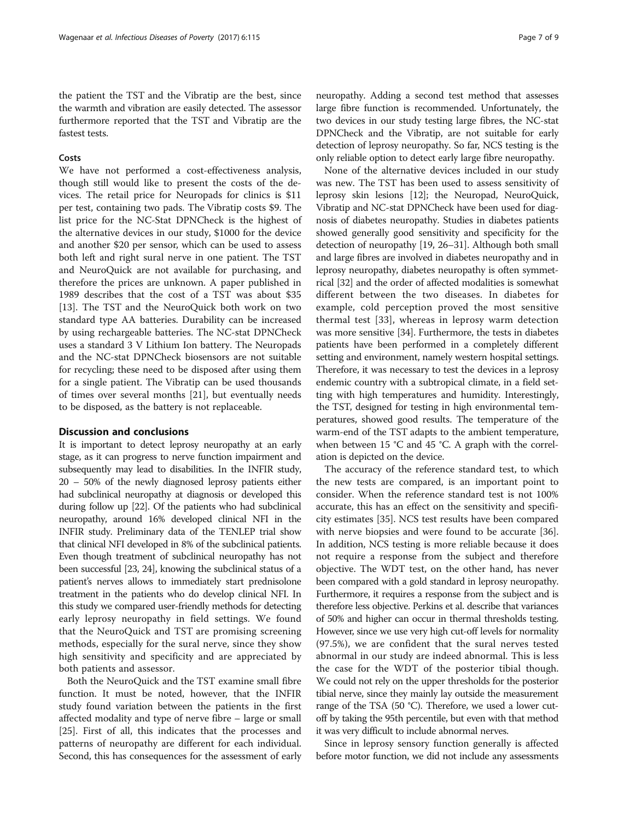the patient the TST and the Vibratip are the best, since the warmth and vibration are easily detected. The assessor furthermore reported that the TST and Vibratip are the fastest tests.

#### Costs

We have not performed a cost-effectiveness analysis, though still would like to present the costs of the devices. The retail price for Neuropads for clinics is \$11 per test, containing two pads. The Vibratip costs \$9. The list price for the NC-Stat DPNCheck is the highest of the alternative devices in our study, \$1000 for the device and another \$20 per sensor, which can be used to assess both left and right sural nerve in one patient. The TST and NeuroQuick are not available for purchasing, and therefore the prices are unknown. A paper published in 1989 describes that the cost of a TST was about \$35 [[13\]](#page-7-0). The TST and the NeuroQuick both work on two standard type AA batteries. Durability can be increased by using rechargeable batteries. The NC-stat DPNCheck uses a standard 3 V Lithium Ion battery. The Neuropads and the NC-stat DPNCheck biosensors are not suitable for recycling; these need to be disposed after using them for a single patient. The Vibratip can be used thousands of times over several months [[21\]](#page-8-0), but eventually needs to be disposed, as the battery is not replaceable.

#### Discussion and conclusions

It is important to detect leprosy neuropathy at an early stage, as it can progress to nerve function impairment and subsequently may lead to disabilities. In the INFIR study, 20 – 50% of the newly diagnosed leprosy patients either had subclinical neuropathy at diagnosis or developed this during follow up [\[22](#page-8-0)]. Of the patients who had subclinical neuropathy, around 16% developed clinical NFI in the INFIR study. Preliminary data of the TENLEP trial show that clinical NFI developed in 8% of the subclinical patients. Even though treatment of subclinical neuropathy has not been successful [[23](#page-8-0), [24\]](#page-8-0), knowing the subclinical status of a patient's nerves allows to immediately start prednisolone treatment in the patients who do develop clinical NFI. In this study we compared user-friendly methods for detecting early leprosy neuropathy in field settings. We found that the NeuroQuick and TST are promising screening methods, especially for the sural nerve, since they show high sensitivity and specificity and are appreciated by both patients and assessor.

Both the NeuroQuick and the TST examine small fibre function. It must be noted, however, that the INFIR study found variation between the patients in the first affected modality and type of nerve fibre – large or small [[25\]](#page-8-0). First of all, this indicates that the processes and patterns of neuropathy are different for each individual. Second, this has consequences for the assessment of early

neuropathy. Adding a second test method that assesses large fibre function is recommended. Unfortunately, the two devices in our study testing large fibres, the NC-stat DPNCheck and the Vibratip, are not suitable for early detection of leprosy neuropathy. So far, NCS testing is the only reliable option to detect early large fibre neuropathy.

None of the alternative devices included in our study was new. The TST has been used to assess sensitivity of leprosy skin lesions [\[12\]](#page-7-0); the Neuropad, NeuroQuick, Vibratip and NC-stat DPNCheck have been used for diagnosis of diabetes neuropathy. Studies in diabetes patients showed generally good sensitivity and specificity for the detection of neuropathy [\[19, 26](#page-8-0)–[31](#page-8-0)]. Although both small and large fibres are involved in diabetes neuropathy and in leprosy neuropathy, diabetes neuropathy is often symmetrical [[32](#page-8-0)] and the order of affected modalities is somewhat different between the two diseases. In diabetes for example, cold perception proved the most sensitive thermal test [[33](#page-8-0)], whereas in leprosy warm detection was more sensitive [[34](#page-8-0)]. Furthermore, the tests in diabetes patients have been performed in a completely different setting and environment, namely western hospital settings. Therefore, it was necessary to test the devices in a leprosy endemic country with a subtropical climate, in a field setting with high temperatures and humidity. Interestingly, the TST, designed for testing in high environmental temperatures, showed good results. The temperature of the warm-end of the TST adapts to the ambient temperature, when between 15 °C and 45 °C. A graph with the correlation is depicted on the device.

The accuracy of the reference standard test, to which the new tests are compared, is an important point to consider. When the reference standard test is not 100% accurate, this has an effect on the sensitivity and specificity estimates [\[35](#page-8-0)]. NCS test results have been compared with nerve biopsies and were found to be accurate [\[36](#page-8-0)]. In addition, NCS testing is more reliable because it does not require a response from the subject and therefore objective. The WDT test, on the other hand, has never been compared with a gold standard in leprosy neuropathy. Furthermore, it requires a response from the subject and is therefore less objective. Perkins et al. describe that variances of 50% and higher can occur in thermal thresholds testing. However, since we use very high cut-off levels for normality (97.5%), we are confident that the sural nerves tested abnormal in our study are indeed abnormal. This is less the case for the WDT of the posterior tibial though. We could not rely on the upper thresholds for the posterior tibial nerve, since they mainly lay outside the measurement range of the TSA (50 °C). Therefore, we used a lower cutoff by taking the 95th percentile, but even with that method it was very difficult to include abnormal nerves.

Since in leprosy sensory function generally is affected before motor function, we did not include any assessments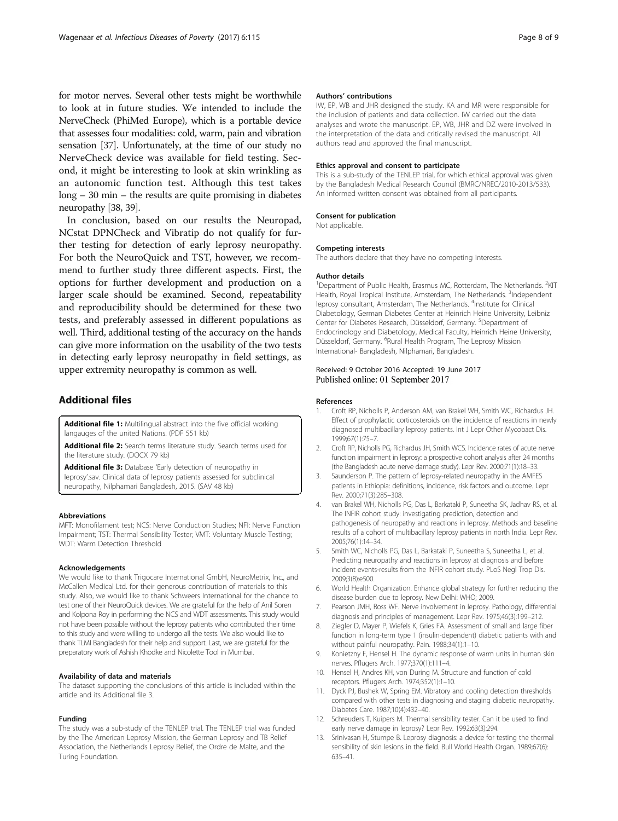<span id="page-7-0"></span>for motor nerves. Several other tests might be worthwhile to look at in future studies. We intended to include the NerveCheck (PhiMed Europe), which is a portable device that assesses four modalities: cold, warm, pain and vibration sensation [[37](#page-8-0)]. Unfortunately, at the time of our study no NerveCheck device was available for field testing. Second, it might be interesting to look at skin wrinkling as an autonomic function test. Although this test takes long – 30 min – the results are quite promising in diabetes neuropathy [[38](#page-8-0), [39](#page-8-0)].

In conclusion, based on our results the Neuropad, NCstat DPNCheck and Vibratip do not qualify for further testing for detection of early leprosy neuropathy. For both the NeuroQuick and TST, however, we recommend to further study three different aspects. First, the options for further development and production on a larger scale should be examined. Second, repeatability and reproducibility should be determined for these two tests, and preferably assessed in different populations as well. Third, additional testing of the accuracy on the hands can give more information on the usability of the two tests in detecting early leprosy neuropathy in field settings, as upper extremity neuropathy is common as well.

#### Additional files

[Additional file 1:](dx.doi.org/10.1186/s40249-017-0330-2) Multilingual abstract into the five official working langauges of the united Nations. (PDF 551 kb)

[Additional file 2:](dx.doi.org/10.1186/s40249-017-0330-2) Search terms literature study. Search terms used for the literature study. (DOCX 79 kb)

[Additional file 3:](dx.doi.org/10.1186/s40249-017-0330-2) Database 'Early detection of neuropathy in leprosy'.sav. Clinical data of leprosy patients assessed for subclinical neuropathy, Nilphamari Bangladesh, 2015. (SAV 48 kb)

#### Abbreviations

MFT: Monofilament test; NCS: Nerve Conduction Studies; NFI: Nerve Function Impairment; TST: Thermal Sensibility Tester; VMT: Voluntary Muscle Testing; WDT: Warm Detection Threshold

#### Acknowledgements

We would like to thank Trigocare International GmbH, NeuroMetrix, Inc., and McCallen Medical Ltd. for their generous contribution of materials to this study. Also, we would like to thank Schweers International for the chance to test one of their NeuroQuick devices. We are grateful for the help of Anil Soren and Kolpona Roy in performing the NCS and WDT assessments. This study would not have been possible without the leprosy patients who contributed their time to this study and were willing to undergo all the tests. We also would like to thank TLMI Bangladesh for their help and support. Last, we are grateful for the preparatory work of Ashish Khodke and Nicolette Tool in Mumbai.

#### Availability of data and materials

The dataset supporting the conclusions of this article is included within the article and its Additional file 3.

#### Funding

The study was a sub-study of the TENLEP trial. The TENLEP trial was funded by the The American Leprosy Mission, the German Leprosy and TB Relief Association, the Netherlands Leprosy Relief, the Ordre de Malte, and the Turing Foundation.

#### Authors' contributions

IW, EP, WB and JHR designed the study. KA and MR were responsible for the inclusion of patients and data collection. IW carried out the data analyses and wrote the manuscript. EP, WB, JHR and DZ were involved in the interpretation of the data and critically revised the manuscript. All authors read and approved the final manuscript.

#### Ethics approval and consent to participate

This is a sub-study of the TENLEP trial, for which ethical approval was given by the Bangladesh Medical Research Council (BMRC/NREC/2010-2013/533). An informed written consent was obtained from all participants.

#### Consent for publication

Not applicable.

#### Competing interests

The authors declare that they have no competing interests.

#### Author details

<sup>1</sup>Department of Public Health, Erasmus MC, Rotterdam, The Netherlands. <sup>2</sup>KIT Health, Royal Tropical Institute, Amsterdam, The Netherlands. <sup>3</sup>Independent leprosy consultant, Amsterdam, The Netherlands. <sup>4</sup>Institute for Clinical Diabetology, German Diabetes Center at Heinrich Heine University, Leibniz Center for Diabetes Research, Düsseldorf, Germany. <sup>5</sup>Department of Endocrinology and Diabetology, Medical Faculty, Heinrich Heine University, Düsseldorf, Germany. <sup>6</sup>Rural Health Program, The Leprosy Mission International- Bangladesh, Nilphamari, Bangladesh.

#### Received: 9 October 2016 Accepted: 19 June 2017 Published online: 01 September 2017

#### References

- 1. Croft RP, Nicholls P, Anderson AM, van Brakel WH, Smith WC, Richardus JH. Effect of prophylactic corticosteroids on the incidence of reactions in newly diagnosed multibacillary leprosy patients. Int J Lepr Other Mycobact Dis. 1999;67(1):75–7.
- 2. Croft RP, Nicholls PG, Richardus JH, Smith WCS. Incidence rates of acute nerve function impairment in leprosy: a prospective cohort analysis after 24 months (the Bangladesh acute nerve damage study). Lepr Rev. 2000;71(1):18–33.
- 3. Saunderson P. The pattern of leprosy-related neuropathy in the AMFES patients in Ethiopia: definitions, incidence, risk factors and outcome. Lepr Rev. 2000;71(3):285–308.
- 4. van Brakel WH, Nicholls PG, Das L, Barkataki P, Suneetha SK, Jadhav RS, et al. The INFIR cohort study: investigating prediction, detection and pathogenesis of neuropathy and reactions in leprosy. Methods and baseline results of a cohort of multibacillary leprosy patients in north India. Lepr Rev. 2005;76(1):14–34.
- 5. Smith WC, Nicholls PG, Das L, Barkataki P, Suneetha S, Suneetha L, et al. Predicting neuropathy and reactions in leprosy at diagnosis and before incident events-results from the INFIR cohort study. PLoS Negl Trop Dis. 2009;3(8):e500.
- 6. World Health Organization. Enhance global strategy for further reducing the disease burden due to leprosy. New Delhi: WHO; 2009.
- Pearson JMH, Ross WF. Nerve involvement in leprosy. Pathology, differential diagnosis and principles of management. Lepr Rev. 1975;46(3):199–212.
- 8. Ziegler D, Mayer P, Wiefels K, Gries FA. Assessment of small and large fiber function in long-term type 1 (insulin-dependent) diabetic patients with and without painful neuropathy. Pain. 1988;34(1):1–10.
- 9. Konietzny F, Hensel H. The dynamic response of warm units in human skin nerves. Pflugers Arch. 1977;370(1):111–4.
- 10. Hensel H, Andres KH, von During M. Structure and function of cold receptors. Pflugers Arch. 1974;352(1):1–10.
- 11. Dyck PJ, Bushek W, Spring EM. Vibratory and cooling detection thresholds compared with other tests in diagnosing and staging diabetic neuropathy. Diabetes Care. 1987;10(4):432–40.
- 12. Schreuders T, Kuipers M. Thermal sensibility tester. Can it be used to find early nerve damage in leprosy? Lepr Rev. 1992;63(3):294.
- 13. Srinivasan H, Stumpe B. Leprosy diagnosis: a device for testing the thermal sensibility of skin lesions in the field. Bull World Health Organ. 1989;67(6): 635–41.